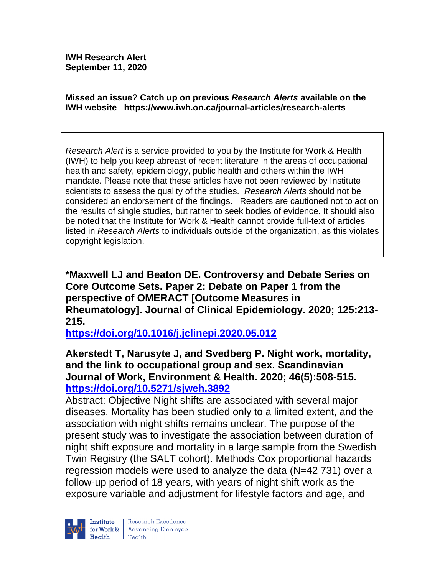**IWH Research Alert September 11, 2020**

#### **Missed an issue? Catch up on previous** *Research Alerts* **available on the [IWH website](http://www.iwh.on.ca/research-alerts) <https://www.iwh.on.ca/journal-articles/research-alerts>**

*Research Alert* is a service provided to you by the Institute for Work & Health (IWH) to help you keep abreast of recent literature in the areas of occupational health and safety, epidemiology, public health and others within the IWH mandate. Please note that these articles have not been reviewed by Institute scientists to assess the quality of the studies. *Research Alerts* should not be considered an endorsement of the findings. Readers are cautioned not to act on the results of single studies, but rather to seek bodies of evidence. It should also be noted that the Institute for Work & Health cannot provide full-text of articles listed in *Research Alerts* to individuals outside of the organization, as this violates copyright legislation.

**\*Maxwell LJ and Beaton DE. Controversy and Debate Series on Core Outcome Sets. Paper 2: Debate on Paper 1 from the perspective of OMERACT [Outcome Measures in Rheumatology]. Journal of Clinical Epidemiology. 2020; 125:213- 215.** 

**<https://doi.org/10.1016/j.jclinepi.2020.05.012>** 

## **Akerstedt T, Narusyte J, and Svedberg P. Night work, mortality, and the link to occupational group and sex. Scandinavian Journal of Work, Environment & Health. 2020; 46(5):508-515. <https://doi.org/10.5271/sjweh.3892>**

Abstract: Objective Night shifts are associated with several major diseases. Mortality has been studied only to a limited extent, and the association with night shifts remains unclear. The purpose of the present study was to investigate the association between duration of night shift exposure and mortality in a large sample from the Swedish Twin Registry (the SALT cohort). Methods Cox proportional hazards regression models were used to analyze the data (N=42 731) over a follow-up period of 18 years, with years of night shift work as the exposure variable and adjustment for lifestyle factors and age, and

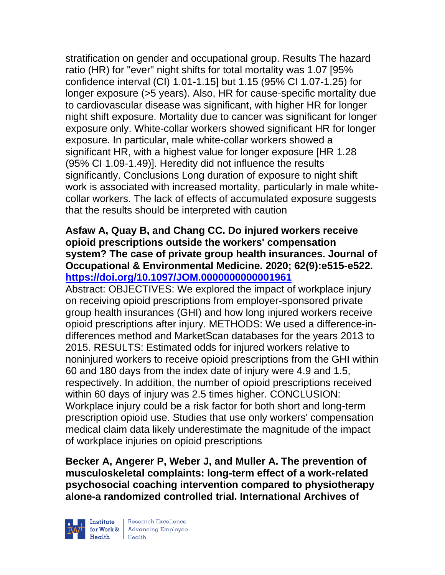stratification on gender and occupational group. Results The hazard ratio (HR) for "ever" night shifts for total mortality was 1.07 [95% confidence interval (CI) 1.01-1.15] but 1.15 (95% CI 1.07-1.25) for longer exposure (>5 years). Also, HR for cause-specific mortality due to cardiovascular disease was significant, with higher HR for longer night shift exposure. Mortality due to cancer was significant for longer exposure only. White-collar workers showed significant HR for longer exposure. In particular, male white-collar workers showed a significant HR, with a highest value for longer exposure [HR 1.28 (95% CI 1.09-1.49)]. Heredity did not influence the results significantly. Conclusions Long duration of exposure to night shift work is associated with increased mortality, particularly in male whitecollar workers. The lack of effects of accumulated exposure suggests that the results should be interpreted with caution

## **Asfaw A, Quay B, and Chang CC. Do injured workers receive opioid prescriptions outside the workers' compensation system? The case of private group health insurances. Journal of Occupational & Environmental Medicine. 2020; 62(9):e515-e522. <https://doi.org/10.1097/JOM.0000000000001961>**

Abstract: OBJECTIVES: We explored the impact of workplace injury on receiving opioid prescriptions from employer-sponsored private group health insurances (GHI) and how long injured workers receive opioid prescriptions after injury. METHODS: We used a difference-indifferences method and MarketScan databases for the years 2013 to 2015. RESULTS: Estimated odds for injured workers relative to noninjured workers to receive opioid prescriptions from the GHI within 60 and 180 days from the index date of injury were 4.9 and 1.5, respectively. In addition, the number of opioid prescriptions received within 60 days of injury was 2.5 times higher. CONCLUSION: Workplace injury could be a risk factor for both short and long-term prescription opioid use. Studies that use only workers' compensation medical claim data likely underestimate the magnitude of the impact of workplace injuries on opioid prescriptions

**Becker A, Angerer P, Weber J, and Muller A. The prevention of musculoskeletal complaints: long-term effect of a work-related psychosocial coaching intervention compared to physiotherapy alone-a randomized controlled trial. International Archives of** 

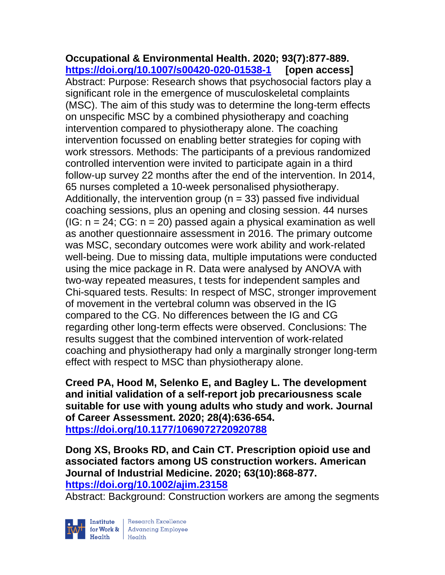**Occupational & Environmental Health. 2020; 93(7):877-889. <https://doi.org/10.1007/s00420-020-01538-1> [open access]** Abstract: Purpose: Research shows that psychosocial factors play a significant role in the emergence of musculoskeletal complaints (MSC). The aim of this study was to determine the long-term effects on unspecific MSC by a combined physiotherapy and coaching intervention compared to physiotherapy alone. The coaching intervention focussed on enabling better strategies for coping with work stressors. Methods: The participants of a previous randomized controlled intervention were invited to participate again in a third follow-up survey 22 months after the end of the intervention. In 2014, 65 nurses completed a 10-week personalised physiotherapy. Additionally, the intervention group ( $n = 33$ ) passed five individual coaching sessions, plus an opening and closing session. 44 nurses (IG:  $n = 24$ ; CG:  $n = 20$ ) passed again a physical examination as well as another questionnaire assessment in 2016. The primary outcome was MSC, secondary outcomes were work ability and work-related well-being. Due to missing data, multiple imputations were conducted using the mice package in R. Data were analysed by ANOVA with two-way repeated measures, t tests for independent samples and Chi-squared tests. Results: In respect of MSC, stronger improvement of movement in the vertebral column was observed in the IG compared to the CG. No differences between the IG and CG regarding other long-term effects were observed. Conclusions: The results suggest that the combined intervention of work-related coaching and physiotherapy had only a marginally stronger long-term effect with respect to MSC than physiotherapy alone.

**Creed PA, Hood M, Selenko E, and Bagley L. The development and initial validation of a self-report job precariousness scale suitable for use with young adults who study and work. Journal of Career Assessment. 2020; 28(4):636-654. <https://doi.org/10.1177/1069072720920788>** 

**Dong XS, Brooks RD, and Cain CT. Prescription opioid use and associated factors among US construction workers. American Journal of Industrial Medicine. 2020; 63(10):868-877. <https://doi.org/10.1002/ajim.23158>** 

Abstract: Background: Construction workers are among the segments

Institute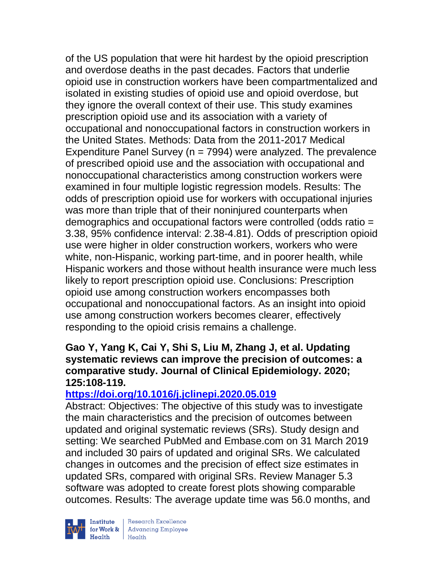of the US population that were hit hardest by the opioid prescription and overdose deaths in the past decades. Factors that underlie opioid use in construction workers have been compartmentalized and isolated in existing studies of opioid use and opioid overdose, but they ignore the overall context of their use. This study examines prescription opioid use and its association with a variety of occupational and nonoccupational factors in construction workers in the United States. Methods: Data from the 2011-2017 Medical Expenditure Panel Survey ( $n = 7994$ ) were analyzed. The prevalence of prescribed opioid use and the association with occupational and nonoccupational characteristics among construction workers were examined in four multiple logistic regression models. Results: The odds of prescription opioid use for workers with occupational injuries was more than triple that of their noninjured counterparts when demographics and occupational factors were controlled (odds ratio = 3.38, 95% confidence interval: 2.38-4.81). Odds of prescription opioid use were higher in older construction workers, workers who were white, non-Hispanic, working part-time, and in poorer health, while Hispanic workers and those without health insurance were much less likely to report prescription opioid use. Conclusions: Prescription opioid use among construction workers encompasses both occupational and nonoccupational factors. As an insight into opioid use among construction workers becomes clearer, effectively responding to the opioid crisis remains a challenge.

## **Gao Y, Yang K, Cai Y, Shi S, Liu M, Zhang J, et al. Updating systematic reviews can improve the precision of outcomes: a comparative study. Journal of Clinical Epidemiology. 2020; 125:108-119.**

# **<https://doi.org/10.1016/j.jclinepi.2020.05.019>**

Abstract: Objectives: The objective of this study was to investigate the main characteristics and the precision of outcomes between updated and original systematic reviews (SRs). Study design and setting: We searched PubMed and Embase.com on 31 March 2019 and included 30 pairs of updated and original SRs. We calculated changes in outcomes and the precision of effect size estimates in updated SRs, compared with original SRs. Review Manager 5.3 software was adopted to create forest plots showing comparable outcomes. Results: The average update time was 56.0 months, and



 $\begin{tabular}{|l|} Institute & Research Excellence \\ \hline for Work & Advancing Employee \\ Health & Health \\ \end{tabular}$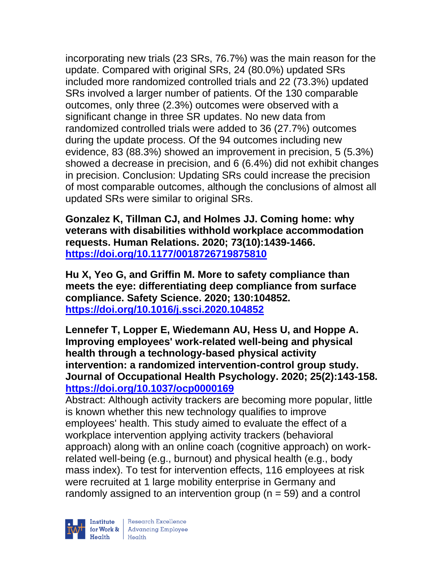incorporating new trials (23 SRs, 76.7%) was the main reason for the update. Compared with original SRs, 24 (80.0%) updated SRs included more randomized controlled trials and 22 (73.3%) updated SRs involved a larger number of patients. Of the 130 comparable outcomes, only three (2.3%) outcomes were observed with a significant change in three SR updates. No new data from randomized controlled trials were added to 36 (27.7%) outcomes during the update process. Of the 94 outcomes including new evidence, 83 (88.3%) showed an improvement in precision, 5 (5.3%) showed a decrease in precision, and 6 (6.4%) did not exhibit changes in precision. Conclusion: Updating SRs could increase the precision of most comparable outcomes, although the conclusions of almost all updated SRs were similar to original SRs.

**Gonzalez K, Tillman CJ, and Holmes JJ. Coming home: why veterans with disabilities withhold workplace accommodation requests. Human Relations. 2020; 73(10):1439-1466. <https://doi.org/10.1177/0018726719875810>** 

**Hu X, Yeo G, and Griffin M. More to safety compliance than meets the eye: differentiating deep compliance from surface compliance. Safety Science. 2020; 130:104852. <https://doi.org/10.1016/j.ssci.2020.104852>** 

**Lennefer T, Lopper E, Wiedemann AU, Hess U, and Hoppe A. Improving employees' work-related well-being and physical health through a technology-based physical activity intervention: a randomized intervention-control group study. Journal of Occupational Health Psychology. 2020; 25(2):143-158. <https://doi.org/10.1037/ocp0000169>** 

Abstract: Although activity trackers are becoming more popular, little is known whether this new technology qualifies to improve employees' health. This study aimed to evaluate the effect of a workplace intervention applying activity trackers (behavioral approach) along with an online coach (cognitive approach) on workrelated well-being (e.g., burnout) and physical health (e.g., body mass index). To test for intervention effects, 116 employees at risk were recruited at 1 large mobility enterprise in Germany and randomly assigned to an intervention group ( $n = 59$ ) and a control

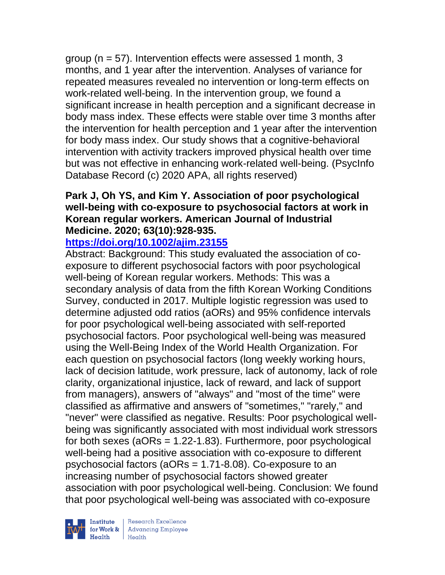group (n = 57). Intervention effects were assessed 1 month, 3 months, and 1 year after the intervention. Analyses of variance for repeated measures revealed no intervention or long-term effects on work-related well-being. In the intervention group, we found a significant increase in health perception and a significant decrease in body mass index. These effects were stable over time 3 months after the intervention for health perception and 1 year after the intervention for body mass index. Our study shows that a cognitive-behavioral intervention with activity trackers improved physical health over time but was not effective in enhancing work-related well-being. (PsycInfo Database Record (c) 2020 APA, all rights reserved)

# **Park J, Oh YS, and Kim Y. Association of poor psychological well-being with co-exposure to psychosocial factors at work in Korean regular workers. American Journal of Industrial Medicine. 2020; 63(10):928-935.**

**<https://doi.org/10.1002/ajim.23155>** 

Abstract: Background: This study evaluated the association of coexposure to different psychosocial factors with poor psychological well-being of Korean regular workers. Methods: This was a secondary analysis of data from the fifth Korean Working Conditions Survey, conducted in 2017. Multiple logistic regression was used to determine adjusted odd ratios (aORs) and 95% confidence intervals for poor psychological well-being associated with self-reported psychosocial factors. Poor psychological well-being was measured using the Well-Being Index of the World Health Organization. For each question on psychosocial factors (long weekly working hours, lack of decision latitude, work pressure, lack of autonomy, lack of role clarity, organizational injustice, lack of reward, and lack of support from managers), answers of "always" and "most of the time" were classified as affirmative and answers of "sometimes," "rarely," and "never" were classified as negative. Results: Poor psychological wellbeing was significantly associated with most individual work stressors for both sexes ( $aORs = 1.22-1.83$ ). Furthermore, poor psychological well-being had a positive association with co-exposure to different psychosocial factors (aORs = 1.71-8.08). Co-exposure to an increasing number of psychosocial factors showed greater association with poor psychological well-being. Conclusion: We found that poor psychological well-being was associated with co-exposure

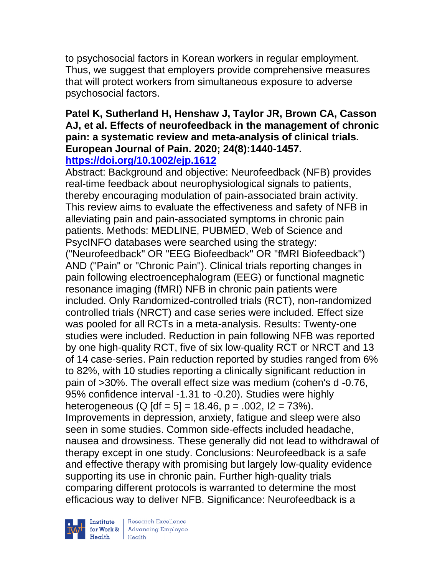to psychosocial factors in Korean workers in regular employment. Thus, we suggest that employers provide comprehensive measures that will protect workers from simultaneous exposure to adverse psychosocial factors.

#### **Patel K, Sutherland H, Henshaw J, Taylor JR, Brown CA, Casson AJ, et al. Effects of neurofeedback in the management of chronic pain: a systematic review and meta-analysis of clinical trials. European Journal of Pain. 2020; 24(8):1440-1457. <https://doi.org/10.1002/ejp.1612>**

Abstract: Background and objective: Neurofeedback (NFB) provides real-time feedback about neurophysiological signals to patients, thereby encouraging modulation of pain-associated brain activity. This review aims to evaluate the effectiveness and safety of NFB in alleviating pain and pain-associated symptoms in chronic pain patients. Methods: MEDLINE, PUBMED, Web of Science and PsycINFO databases were searched using the strategy: ("Neurofeedback" OR "EEG Biofeedback" OR "fMRI Biofeedback") AND ("Pain" or "Chronic Pain"). Clinical trials reporting changes in pain following electroencephalogram (EEG) or functional magnetic resonance imaging (fMRI) NFB in chronic pain patients were included. Only Randomized-controlled trials (RCT), non-randomized controlled trials (NRCT) and case series were included. Effect size was pooled for all RCTs in a meta-analysis. Results: Twenty-one studies were included. Reduction in pain following NFB was reported by one high-quality RCT, five of six low-quality RCT or NRCT and 13 of 14 case-series. Pain reduction reported by studies ranged from 6% to 82%, with 10 studies reporting a clinically significant reduction in pain of >30%. The overall effect size was medium (cohen's d -0.76, 95% confidence interval -1.31 to -0.20). Studies were highly heterogeneous (Q  $\left[ df = 5 \right] = 18.46$ , p = .002, l2 = 73%). Improvements in depression, anxiety, fatigue and sleep were also seen in some studies. Common side-effects included headache, nausea and drowsiness. These generally did not lead to withdrawal of therapy except in one study. Conclusions: Neurofeedback is a safe and effective therapy with promising but largely low-quality evidence supporting its use in chronic pain. Further high-quality trials comparing different protocols is warranted to determine the most efficacious way to deliver NFB. Significance: Neurofeedback is a

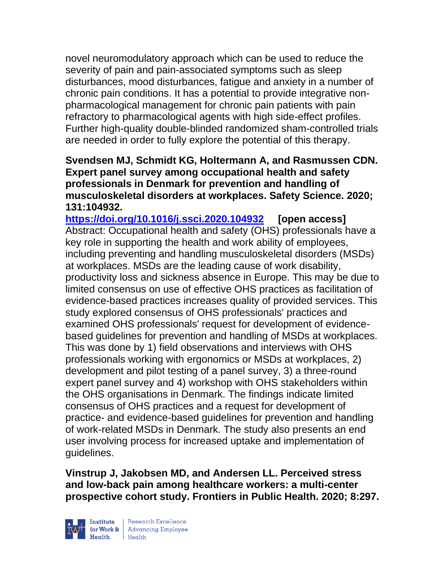novel neuromodulatory approach which can be used to reduce the severity of pain and pain-associated symptoms such as sleep disturbances, mood disturbances, fatigue and anxiety in a number of chronic pain conditions. It has a potential to provide integrative nonpharmacological management for chronic pain patients with pain refractory to pharmacological agents with high side-effect profiles. Further high-quality double-blinded randomized sham-controlled trials are needed in order to fully explore the potential of this therapy.

**Svendsen MJ, Schmidt KG, Holtermann A, and Rasmussen CDN. Expert panel survey among occupational health and safety professionals in Denmark for prevention and handling of musculoskeletal disorders at workplaces. Safety Science. 2020; 131:104932.**

**<https://doi.org/10.1016/j.ssci.2020.104932> [open access]** Abstract: Occupational health and safety (OHS) professionals have a key role in supporting the health and work ability of employees, including preventing and handling musculoskeletal disorders (MSDs) at workplaces. MSDs are the leading cause of work disability, productivity loss and sickness absence in Europe. This may be due to limited consensus on use of effective OHS practices as facilitation of evidence-based practices increases quality of provided services. This study explored consensus of OHS professionals' practices and examined OHS professionals' request for development of evidencebased guidelines for prevention and handling of MSDs at workplaces. This was done by 1) field observations and interviews with OHS professionals working with ergonomics or MSDs at workplaces, 2) development and pilot testing of a panel survey, 3) a three-round expert panel survey and 4) workshop with OHS stakeholders within the OHS organisations in Denmark. The findings indicate limited consensus of OHS practices and a request for development of practice- and evidence-based guidelines for prevention and handling of work-related MSDs in Denmark. The study also presents an end user involving process for increased uptake and implementation of guidelines.

**Vinstrup J, Jakobsen MD, and Andersen LL. Perceived stress and low-back pain among healthcare workers: a multi-center prospective cohort study. Frontiers in Public Health. 2020; 8:297.**

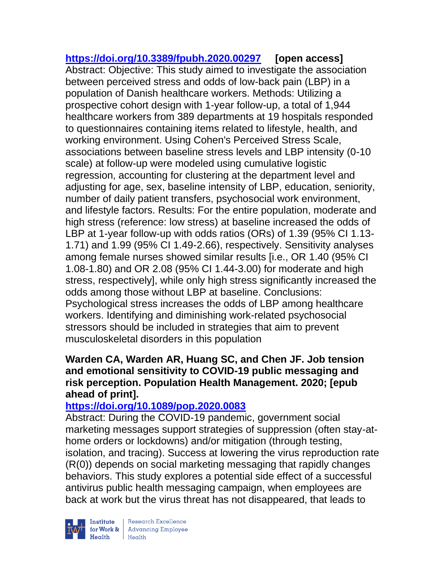**<https://doi.org/10.3389/fpubh.2020.00297> [open access]** Abstract: Objective: This study aimed to investigate the association between perceived stress and odds of low-back pain (LBP) in a population of Danish healthcare workers. Methods: Utilizing a prospective cohort design with 1-year follow-up, a total of 1,944 healthcare workers from 389 departments at 19 hospitals responded to questionnaires containing items related to lifestyle, health, and working environment. Using Cohen's Perceived Stress Scale, associations between baseline stress levels and LBP intensity (0-10 scale) at follow-up were modeled using cumulative logistic regression, accounting for clustering at the department level and adjusting for age, sex, baseline intensity of LBP, education, seniority, number of daily patient transfers, psychosocial work environment, and lifestyle factors. Results: For the entire population, moderate and high stress (reference: low stress) at baseline increased the odds of LBP at 1-year follow-up with odds ratios (ORs) of 1.39 (95% CI 1.13- 1.71) and 1.99 (95% CI 1.49-2.66), respectively. Sensitivity analyses among female nurses showed similar results [i.e., OR 1.40 (95% CI 1.08-1.80) and OR 2.08 (95% CI 1.44-3.00) for moderate and high stress, respectively], while only high stress significantly increased the odds among those without LBP at baseline. Conclusions: Psychological stress increases the odds of LBP among healthcare workers. Identifying and diminishing work-related psychosocial stressors should be included in strategies that aim to prevent musculoskeletal disorders in this population

## **Warden CA, Warden AR, Huang SC, and Chen JF. Job tension and emotional sensitivity to COVID-19 public messaging and risk perception. Population Health Management. 2020; [epub ahead of print].**

# **<https://doi.org/10.1089/pop.2020.0083>**

Abstract: During the COVID-19 pandemic, government social marketing messages support strategies of suppression (often stay-athome orders or lockdowns) and/or mitigation (through testing, isolation, and tracing). Success at lowering the virus reproduction rate (R(0)) depends on social marketing messaging that rapidly changes behaviors. This study explores a potential side effect of a successful antivirus public health messaging campaign, when employees are back at work but the virus threat has not disappeared, that leads to



| Research Excellence **Institute** Research Excellence<br> **Fractional Employee Health**<br>
Health<br>
Health